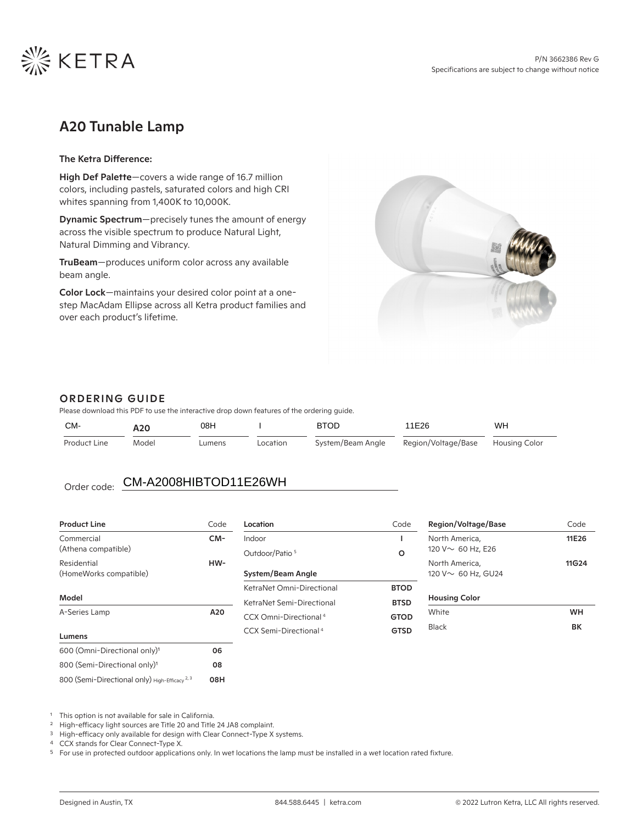

# A20 Tunable Lamp

#### The Ketra Difference:

High Def Palette-covers a wide range of 16.7 million colors, including pastels, saturated colors and high CRI whites spanning from 1,400K to 10,000K.

Dynamic Spectrum—precisely tunes the amount of energy across the visible spectrum to produce Natural Light, Natural Dimming and Vibrancy.

TruBeam—produces uniform color across any available beam angle.

Color Lock—maintains your desired color point at a onestep MacAdam Ellipse across all Ketra product families and over each product's lifetime.



#### ORDERING GUIDE

Please download this PDF to use the interactive drop down features of the ordering guide.

| CM-          | A20   | 08H                   |          | <b>BTOD</b>       | 11E26               | WH            |  |
|--------------|-------|-----------------------|----------|-------------------|---------------------|---------------|--|
| Product Line | Model | Lumens                | Location | System/Beam Angle | Region/Voltage/Base | Housing Color |  |
|              |       |                       |          |                   |                     |               |  |
| Order code:  |       | CM-A2008HIBTOD11E26WH |          |                   |                     |               |  |

| Product Line                                             | Code |
|----------------------------------------------------------|------|
| Commercial<br>(Athena compatible)                        | CM-  |
| Residential<br>(HomeWorks compatible)                    | HW-  |
| Model                                                    |      |
| A-Series Lamp                                            | A20  |
| Lumens                                                   |      |
| 600 (Omni-Directional only) <sup>1</sup>                 | 06   |
| 800 (Semi-Directional only) <sup>1</sup>                 | 08   |
| 800 (Semi-Directional only) High-Efficacy <sup>2,3</sup> | 08H  |

| Location                          | Code        |
|-----------------------------------|-------------|
| Indoor                            |             |
| Outdoor/Patio <sup>5</sup>        | റ           |
| <b>System/Beam Angle</b>          |             |
| KetraNet Omni-Directional         | <b>BTOD</b> |
| KetraNet Semi-Directional         | <b>BTSD</b> |
| CCX Omni-Directional <sup>4</sup> | GTOD        |
| CCX Semi-Directional <sup>4</sup> | GTSD        |
|                                   |             |

| <b>Region/Voltage/Base</b>                 | Code              |
|--------------------------------------------|-------------------|
| North America,<br>120 V ~ 60 Hz, E26       | 11E26             |
| North America.<br>120 V $\sim$ 60 Hz, GU24 | 11G <sub>24</sub> |
| <b>Housing Color</b>                       |                   |
| White                                      | WН                |
| <b>Black</b>                               | RК                |
|                                            |                   |

1 This option is not available for sale in California.<br><sup>2</sup> High-efficacy light sources are Title 20 and Title 24 JA8 complaint.

<sup>3</sup> High-efficacy only available for design with Clear Connect-Type X systems.

<sup>4</sup> CCX stands for Clear Connect-Type X.

<sup>5</sup> For use in protected outdoor applications only. In wet locations the lamp must be installed in a wet location rated fixture.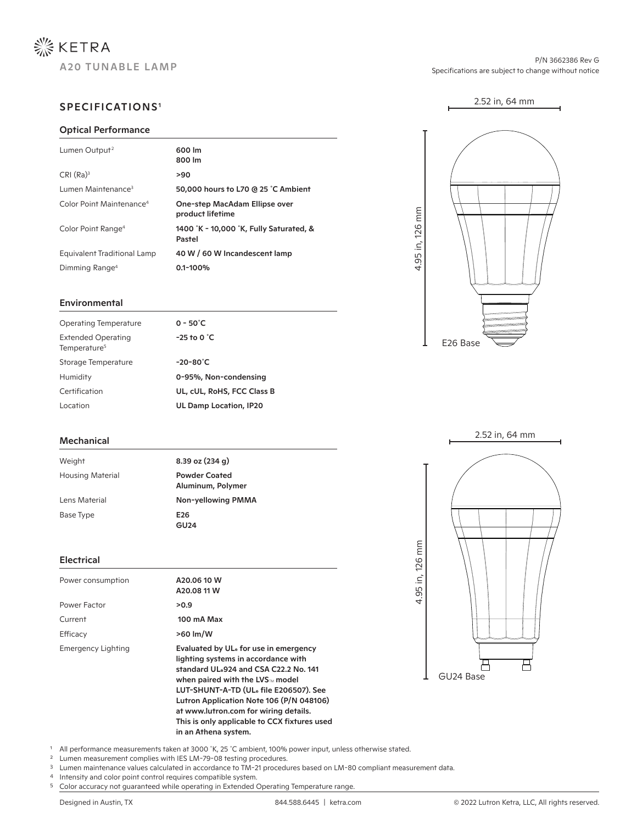

## SPECIFICATIONS1

#### Optical Performance

| Lumen Output <sup>2</sup>            | 600 lm<br>800 lm                                  |
|--------------------------------------|---------------------------------------------------|
| CRI (Ra) <sup>3</sup>                | >90                                               |
| Lumen Maintenance <sup>3</sup>       | 50,000 hours to L70 @ 25 °C Ambient               |
| Color Point Maintenance <sup>4</sup> | One-step MacAdam Ellipse over<br>product lifetime |
| Color Point Range <sup>4</sup>       | 1400 °K - 10,000 °K, Fully Saturated, &<br>Pastel |
| Equivalent Traditional Lamp          | 40 W / 60 W Incandescent lamp                     |
| Dimming Range <sup>4</sup>           | $0.1 - 100\%$                                     |

#### Environmental

| $0 - 50^{\circ}$ C            |
|-------------------------------|
| $-25$ to 0 $^{\circ}$ C       |
| $-20-80^{\circ}$ C            |
| 0-95%, Non-condensing         |
| UL, cUL, RoHS, FCC Class B    |
| <b>UL Damp Location, IP20</b> |
|                               |

#### Mechanical

| $8.39$ oz $(234q)$                        |
|-------------------------------------------|
| <b>Powder Coated</b><br>Aluminum, Polymer |
| Non-yellowing PMMA                        |
| E26<br>GU <sub>24</sub>                   |
|                                           |

#### Electrical

| Power consumption  | A20.06 10 W<br>A20.08 11 W                                                                                                                                                                                                                                                                                                                                                               |
|--------------------|------------------------------------------------------------------------------------------------------------------------------------------------------------------------------------------------------------------------------------------------------------------------------------------------------------------------------------------------------------------------------------------|
| Power Factor       | >0.9                                                                                                                                                                                                                                                                                                                                                                                     |
| Current            | 100 mA Max                                                                                                                                                                                                                                                                                                                                                                               |
| Efficacy           | $>60 \, \text{Im/W}$                                                                                                                                                                                                                                                                                                                                                                     |
| Emergency Lighting | Evaluated by UL <sub>®</sub> for use in emergency<br>lighting systems in accordance with<br>standard UL.924 and CSA C22.2 No. 141<br>when paired with the LVS <sub>IM</sub> model<br>LUT-SHUNT-A-TD (UL® file E206507). See<br>Lutron Application Note 106 (P/N 048106)<br>at www.lutron.com for wiring details.<br>This is only applicable to CCX fixtures used<br>in an Athena system. |

P/N 3662386 Rev G Specifications are subject to change without notice

2.52 in, 64 mm





<sup>1</sup> All performance measurements taken at 3000 ˚K, 25 ˚C ambient, 100% power input, unless otherwise stated.

<sup>2</sup> Lumen measurement complies with IES LM-79-08 testing procedures.

<sup>3</sup> Lumen maintenance values calculated in accordance to TM-21 procedures based on LM-80 compliant measurement data.

<sup>4</sup> Intensity and color point control requires compatible system.

<sup>5</sup> Color accuracy not guaranteed while operating in Extended Operating Temperature range.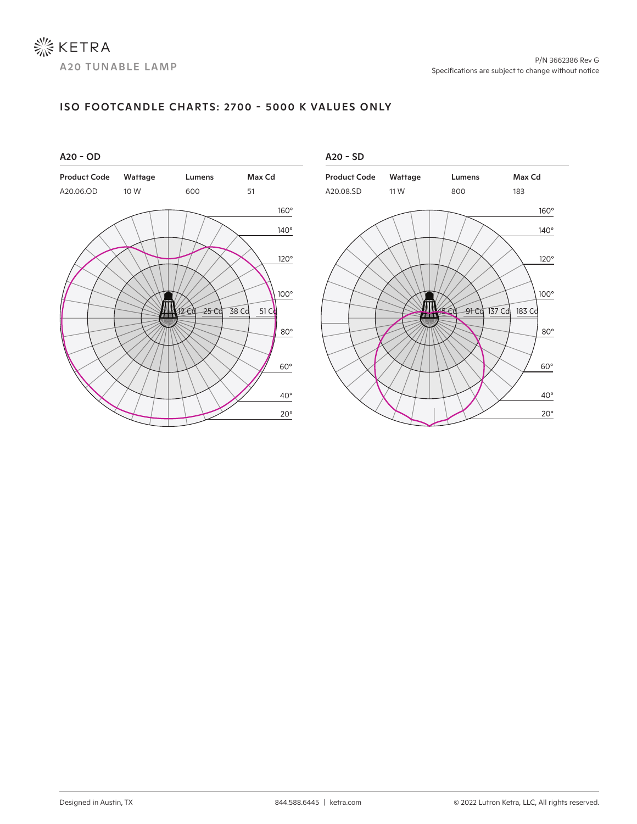